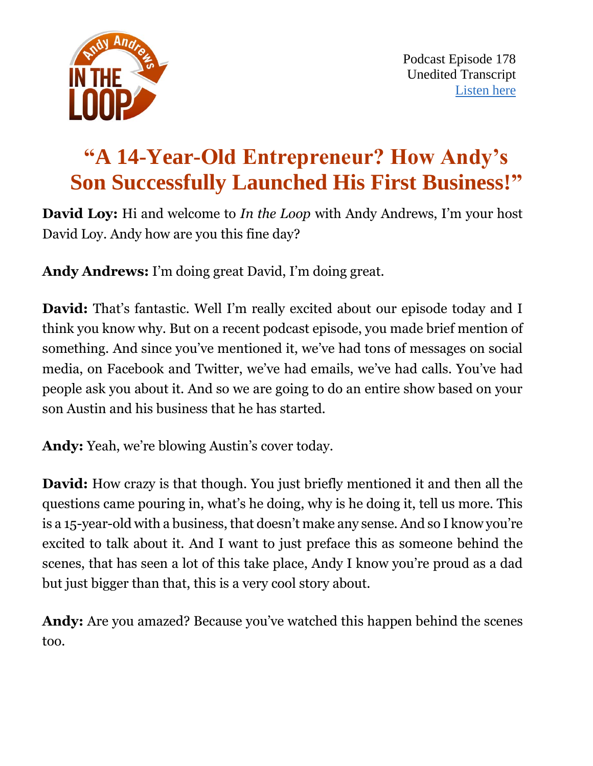

# **"A 14-Year-Old Entrepreneur? How Andy's Son Successfully Launched His First Business!"**

**David Loy:** Hi and welcome to *In the Loop* with Andy Andrews, I'm your host David Loy. Andy how are you this fine day?

**Andy Andrews:** I'm doing great David, I'm doing great.

**David:** That's fantastic. Well I'm really excited about our episode today and I think you know why. But on a recent podcast episode, you made brief mention of something. And since you've mentioned it, we've had tons of messages on social media, on Facebook and Twitter, we've had emails, we've had calls. You've had people ask you about it. And so we are going to do an entire show based on your son Austin and his business that he has started.

**Andy:** Yeah, we're blowing Austin's cover today.

**David:** How crazy is that though. You just briefly mentioned it and then all the questions came pouring in, what's he doing, why is he doing it, tell us more. This is a 15-year-old with a business, that doesn't make any sense. And so I know you're excited to talk about it. And I want to just preface this as someone behind the scenes, that has seen a lot of this take place, Andy I know you're proud as a dad but just bigger than that, this is a very cool story about.

**Andy:** Are you amazed? Because you've watched this happen behind the scenes too.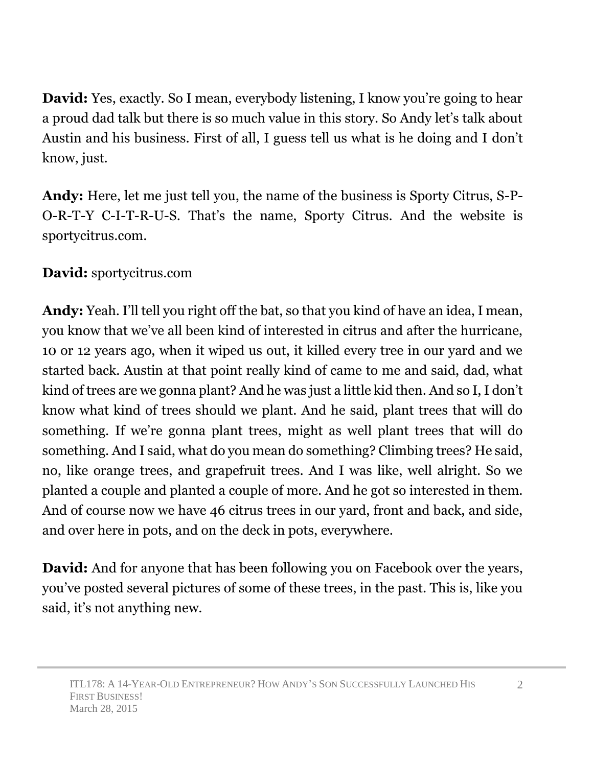**David:** Yes, exactly. So I mean, everybody listening, I know you're going to hear a proud dad talk but there is so much value in this story. So Andy let's talk about Austin and his business. First of all, I guess tell us what is he doing and I don't know, just.

**Andy:** Here, let me just tell you, the name of the business is Sporty Citrus, S-P-O-R-T-Y C-I-T-R-U-S. That's the name, Sporty Citrus. And the website is sportycitrus.com.

**David:** sportycitrus.com

**Andy:** Yeah. I'll tell you right off the bat, so that you kind of have an idea, I mean, you know that we've all been kind of interested in citrus and after the hurricane, 10 or 12 years ago, when it wiped us out, it killed every tree in our yard and we started back. Austin at that point really kind of came to me and said, dad, what kind of trees are we gonna plant? And he was just a little kid then. And so I, I don't know what kind of trees should we plant. And he said, plant trees that will do something. If we're gonna plant trees, might as well plant trees that will do something. And I said, what do you mean do something? Climbing trees? He said, no, like orange trees, and grapefruit trees. And I was like, well alright. So we planted a couple and planted a couple of more. And he got so interested in them. And of course now we have 46 citrus trees in our yard, front and back, and side, and over here in pots, and on the deck in pots, everywhere.

**David:** And for anyone that has been following you on Facebook over the years, you've posted several pictures of some of these trees, in the past. This is, like you said, it's not anything new.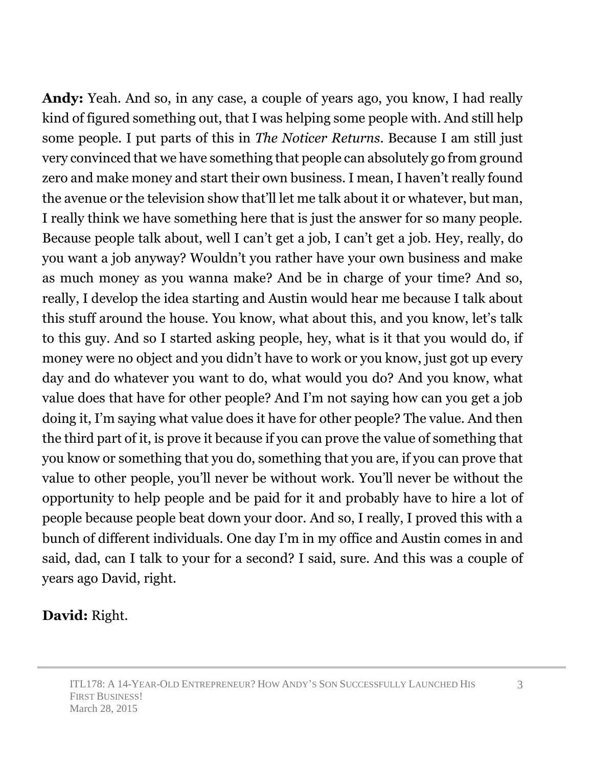**Andy:** Yeah. And so, in any case, a couple of years ago, you know, I had really kind of figured something out, that I was helping some people with. And still help some people. I put parts of this in *The Noticer Returns*. Because I am still just very convinced that we have something that people can absolutely go from ground zero and make money and start their own business. I mean, I haven't really found the avenue or the television show that'll let me talk about it or whatever, but man, I really think we have something here that is just the answer for so many people. Because people talk about, well I can't get a job, I can't get a job. Hey, really, do you want a job anyway? Wouldn't you rather have your own business and make as much money as you wanna make? And be in charge of your time? And so, really, I develop the idea starting and Austin would hear me because I talk about this stuff around the house. You know, what about this, and you know, let's talk to this guy. And so I started asking people, hey, what is it that you would do, if money were no object and you didn't have to work or you know, just got up every day and do whatever you want to do, what would you do? And you know, what value does that have for other people? And I'm not saying how can you get a job doing it, I'm saying what value does it have for other people? The value. And then the third part of it, is prove it because if you can prove the value of something that you know or something that you do, something that you are, if you can prove that value to other people, you'll never be without work. You'll never be without the opportunity to help people and be paid for it and probably have to hire a lot of people because people beat down your door. And so, I really, I proved this with a bunch of different individuals. One day I'm in my office and Austin comes in and said, dad, can I talk to your for a second? I said, sure. And this was a couple of years ago David, right.

### **David:** Right.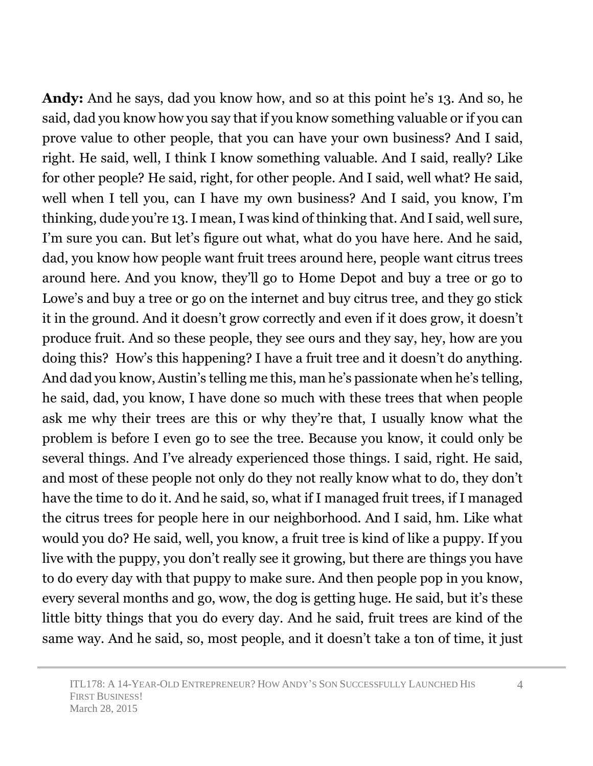**Andy:** And he says, dad you know how, and so at this point he's 13. And so, he said, dad you know how you say that if you know something valuable or if you can prove value to other people, that you can have your own business? And I said, right. He said, well, I think I know something valuable. And I said, really? Like for other people? He said, right, for other people. And I said, well what? He said, well when I tell you, can I have my own business? And I said, you know, I'm thinking, dude you're 13. I mean, I was kind of thinking that. And I said, well sure, I'm sure you can. But let's figure out what, what do you have here. And he said, dad, you know how people want fruit trees around here, people want citrus trees around here. And you know, they'll go to Home Depot and buy a tree or go to Lowe's and buy a tree or go on the internet and buy citrus tree, and they go stick it in the ground. And it doesn't grow correctly and even if it does grow, it doesn't produce fruit. And so these people, they see ours and they say, hey, how are you doing this? How's this happening? I have a fruit tree and it doesn't do anything. And dad you know, Austin's telling me this, man he's passionate when he's telling, he said, dad, you know, I have done so much with these trees that when people ask me why their trees are this or why they're that, I usually know what the problem is before I even go to see the tree. Because you know, it could only be several things. And I've already experienced those things. I said, right. He said, and most of these people not only do they not really know what to do, they don't have the time to do it. And he said, so, what if I managed fruit trees, if I managed the citrus trees for people here in our neighborhood. And I said, hm. Like what would you do? He said, well, you know, a fruit tree is kind of like a puppy. If you live with the puppy, you don't really see it growing, but there are things you have to do every day with that puppy to make sure. And then people pop in you know, every several months and go, wow, the dog is getting huge. He said, but it's these little bitty things that you do every day. And he said, fruit trees are kind of the same way. And he said, so, most people, and it doesn't take a ton of time, it just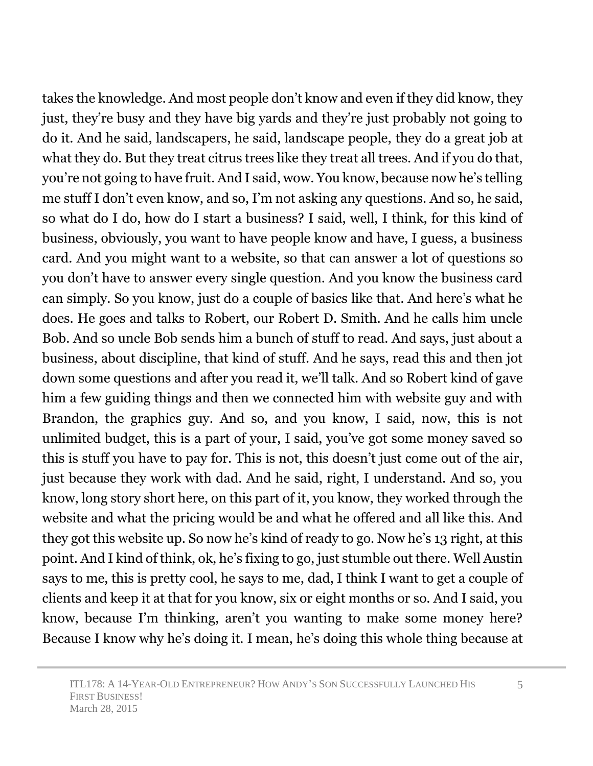takes the knowledge. And most people don't know and even if they did know, they just, they're busy and they have big yards and they're just probably not going to do it. And he said, landscapers, he said, landscape people, they do a great job at what they do. But they treat citrus trees like they treat all trees. And if you do that, you're not going to have fruit. And I said, wow. You know, because now he's telling me stuff I don't even know, and so, I'm not asking any questions. And so, he said, so what do I do, how do I start a business? I said, well, I think, for this kind of business, obviously, you want to have people know and have, I guess, a business card. And you might want to a website, so that can answer a lot of questions so you don't have to answer every single question. And you know the business card can simply. So you know, just do a couple of basics like that. And here's what he does. He goes and talks to Robert, our Robert D. Smith. And he calls him uncle Bob. And so uncle Bob sends him a bunch of stuff to read. And says, just about a business, about discipline, that kind of stuff. And he says, read this and then jot down some questions and after you read it, we'll talk. And so Robert kind of gave him a few guiding things and then we connected him with website guy and with Brandon, the graphics guy. And so, and you know, I said, now, this is not unlimited budget, this is a part of your, I said, you've got some money saved so this is stuff you have to pay for. This is not, this doesn't just come out of the air, just because they work with dad. And he said, right, I understand. And so, you know, long story short here, on this part of it, you know, they worked through the website and what the pricing would be and what he offered and all like this. And they got this website up. So now he's kind of ready to go. Now he's 13 right, at this point. And I kind of think, ok, he's fixing to go, just stumble out there. Well Austin says to me, this is pretty cool, he says to me, dad, I think I want to get a couple of clients and keep it at that for you know, six or eight months or so. And I said, you know, because I'm thinking, aren't you wanting to make some money here? Because I know why he's doing it. I mean, he's doing this whole thing because at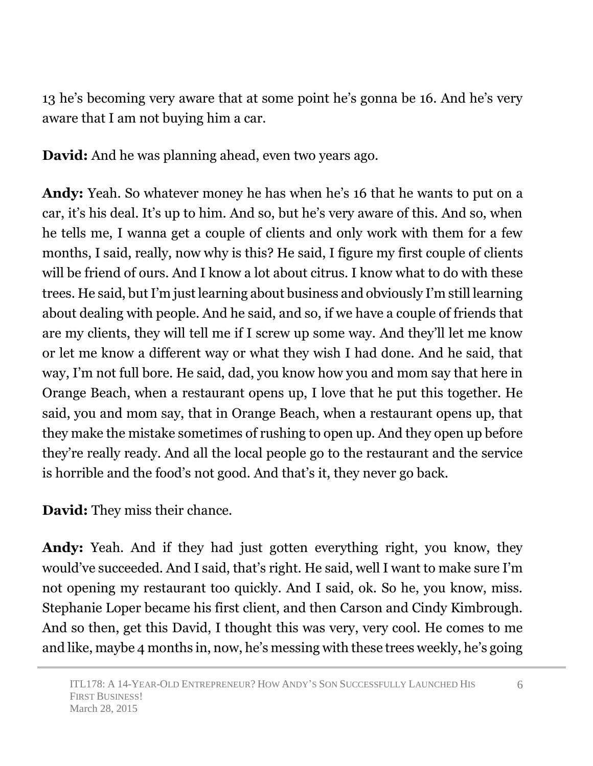13 he's becoming very aware that at some point he's gonna be 16. And he's very aware that I am not buying him a car.

**David:** And he was planning ahead, even two years ago.

**Andy:** Yeah. So whatever money he has when he's 16 that he wants to put on a car, it's his deal. It's up to him. And so, but he's very aware of this. And so, when he tells me, I wanna get a couple of clients and only work with them for a few months, I said, really, now why is this? He said, I figure my first couple of clients will be friend of ours. And I know a lot about citrus. I know what to do with these trees. He said, but I'm just learning about business and obviously I'm still learning about dealing with people. And he said, and so, if we have a couple of friends that are my clients, they will tell me if I screw up some way. And they'll let me know or let me know a different way or what they wish I had done. And he said, that way, I'm not full bore. He said, dad, you know how you and mom say that here in Orange Beach, when a restaurant opens up, I love that he put this together. He said, you and mom say, that in Orange Beach, when a restaurant opens up, that they make the mistake sometimes of rushing to open up. And they open up before they're really ready. And all the local people go to the restaurant and the service is horrible and the food's not good. And that's it, they never go back.

**David:** They miss their chance.

**Andy:** Yeah. And if they had just gotten everything right, you know, they would've succeeded. And I said, that's right. He said, well I want to make sure I'm not opening my restaurant too quickly. And I said, ok. So he, you know, miss. Stephanie Loper became his first client, and then Carson and Cindy Kimbrough. And so then, get this David, I thought this was very, very cool. He comes to me and like, maybe 4 months in, now, he's messing with these trees weekly, he's going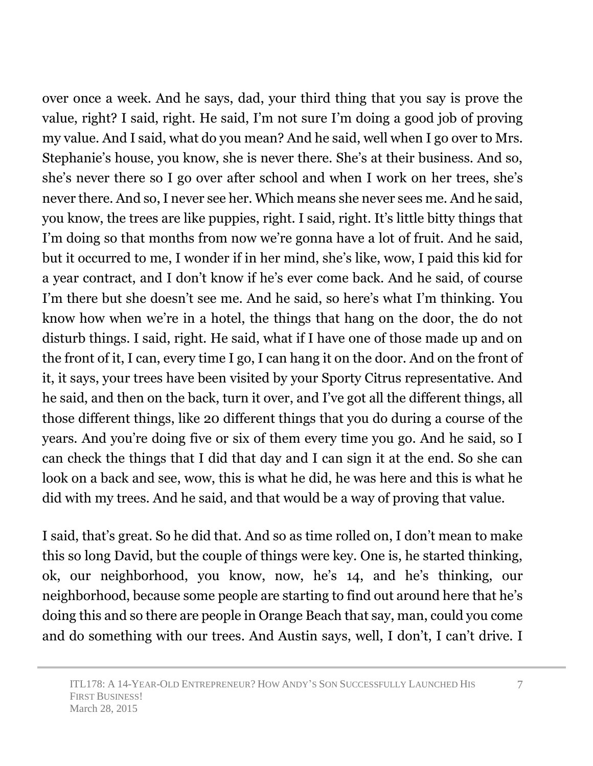over once a week. And he says, dad, your third thing that you say is prove the value, right? I said, right. He said, I'm not sure I'm doing a good job of proving my value. And I said, what do you mean? And he said, well when I go over to Mrs. Stephanie's house, you know, she is never there. She's at their business. And so, she's never there so I go over after school and when I work on her trees, she's never there. And so, I never see her. Which means she never sees me. And he said, you know, the trees are like puppies, right. I said, right. It's little bitty things that I'm doing so that months from now we're gonna have a lot of fruit. And he said, but it occurred to me, I wonder if in her mind, she's like, wow, I paid this kid for a year contract, and I don't know if he's ever come back. And he said, of course I'm there but she doesn't see me. And he said, so here's what I'm thinking. You know how when we're in a hotel, the things that hang on the door, the do not disturb things. I said, right. He said, what if I have one of those made up and on the front of it, I can, every time I go, I can hang it on the door. And on the front of it, it says, your trees have been visited by your Sporty Citrus representative. And he said, and then on the back, turn it over, and I've got all the different things, all those different things, like 20 different things that you do during a course of the years. And you're doing five or six of them every time you go. And he said, so I can check the things that I did that day and I can sign it at the end. So she can look on a back and see, wow, this is what he did, he was here and this is what he did with my trees. And he said, and that would be a way of proving that value.

I said, that's great. So he did that. And so as time rolled on, I don't mean to make this so long David, but the couple of things were key. One is, he started thinking, ok, our neighborhood, you know, now, he's 14, and he's thinking, our neighborhood, because some people are starting to find out around here that he's doing this and so there are people in Orange Beach that say, man, could you come and do something with our trees. And Austin says, well, I don't, I can't drive. I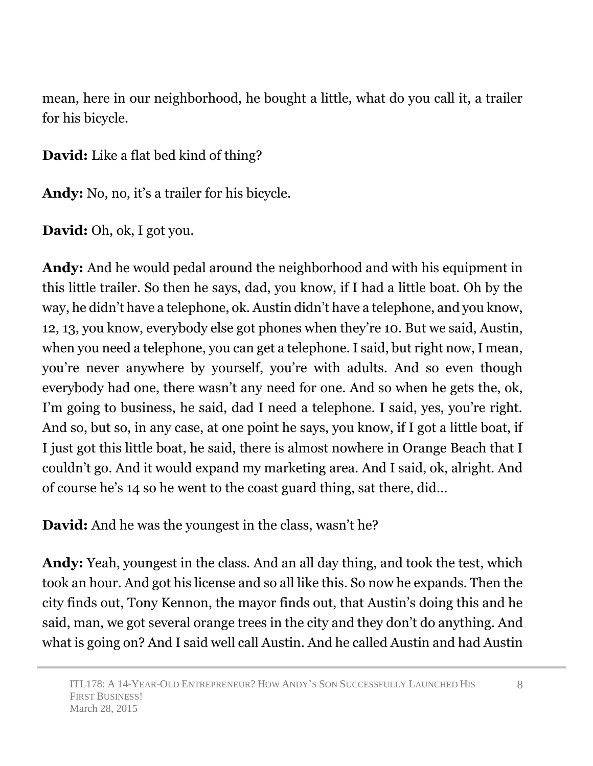mean, here in our neighborhood, he bought a little, what do you call it, a trailer for his bicycle.

**David:** Like a flat bed kind of thing?

**Andy:** No, no, it's a trailer for his bicycle.

**David:** Oh, ok, I got you.

**Andy:** And he would pedal around the neighborhood and with his equipment in this little trailer. So then he says, dad, you know, if I had a little boat. Oh by the way, he didn't have a telephone, ok. Austin didn't have a telephone, and you know, 12, 13, you know, everybody else got phones when they're 10. But we said, Austin, when you need a telephone, you can get a telephone. I said, but right now, I mean, you're never anywhere by yourself, you're with adults. And so even though everybody had one, there wasn't any need for one. And so when he gets the, ok, I'm going to business, he said, dad I need a telephone. I said, yes, you're right. And so, but so, in any case, at one point he says, you know, if I got a little boat, if I just got this little boat, he said, there is almost nowhere in Orange Beach that I couldn't go. And it would expand my marketing area. And I said, ok, alright. And of course he's 14 so he went to the coast guard thing, sat there, did…

**David:** And he was the youngest in the class, wasn't he?

**Andy:** Yeah, youngest in the class. And an all day thing, and took the test, which took an hour. And got his license and so all like this. So now he expands. Then the city finds out, Tony Kennon, the mayor finds out, that Austin's doing this and he said, man, we got several orange trees in the city and they don't do anything. And what is going on? And I said well call Austin. And he called Austin and had Austin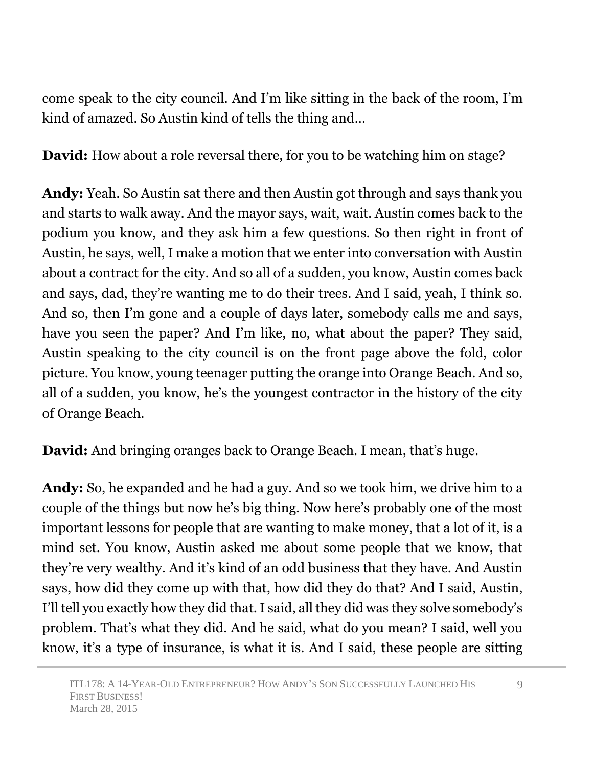come speak to the city council. And I'm like sitting in the back of the room, I'm kind of amazed. So Austin kind of tells the thing and…

**David:** How about a role reversal there, for you to be watching him on stage?

**Andy:** Yeah. So Austin sat there and then Austin got through and says thank you and starts to walk away. And the mayor says, wait, wait. Austin comes back to the podium you know, and they ask him a few questions. So then right in front of Austin, he says, well, I make a motion that we enter into conversation with Austin about a contract for the city. And so all of a sudden, you know, Austin comes back and says, dad, they're wanting me to do their trees. And I said, yeah, I think so. And so, then I'm gone and a couple of days later, somebody calls me and says, have you seen the paper? And I'm like, no, what about the paper? They said, Austin speaking to the city council is on the front page above the fold, color picture. You know, young teenager putting the orange into Orange Beach. And so, all of a sudden, you know, he's the youngest contractor in the history of the city of Orange Beach.

**David:** And bringing oranges back to Orange Beach. I mean, that's huge.

**Andy:** So, he expanded and he had a guy. And so we took him, we drive him to a couple of the things but now he's big thing. Now here's probably one of the most important lessons for people that are wanting to make money, that a lot of it, is a mind set. You know, Austin asked me about some people that we know, that they're very wealthy. And it's kind of an odd business that they have. And Austin says, how did they come up with that, how did they do that? And I said, Austin, I'll tell you exactly how they did that. I said, all they did was they solve somebody's problem. That's what they did. And he said, what do you mean? I said, well you know, it's a type of insurance, is what it is. And I said, these people are sitting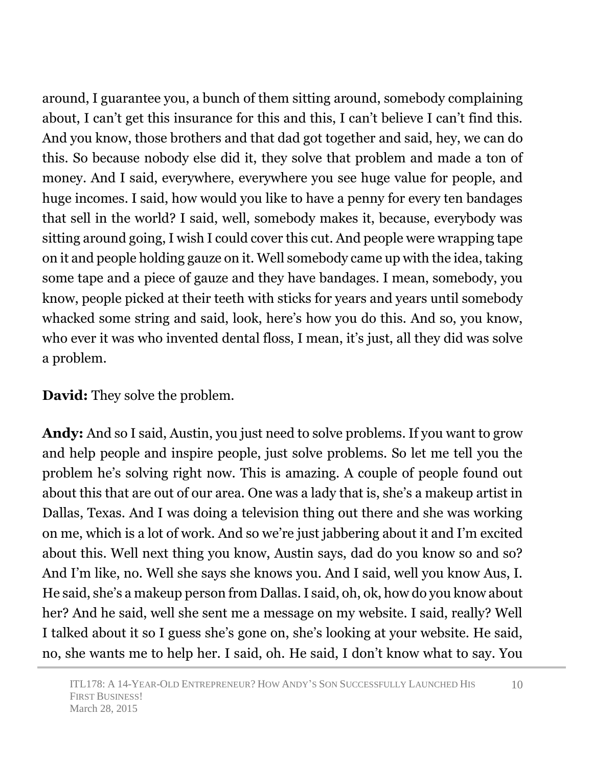around, I guarantee you, a bunch of them sitting around, somebody complaining about, I can't get this insurance for this and this, I can't believe I can't find this. And you know, those brothers and that dad got together and said, hey, we can do this. So because nobody else did it, they solve that problem and made a ton of money. And I said, everywhere, everywhere you see huge value for people, and huge incomes. I said, how would you like to have a penny for every ten bandages that sell in the world? I said, well, somebody makes it, because, everybody was sitting around going, I wish I could cover this cut. And people were wrapping tape on it and people holding gauze on it. Well somebody came up with the idea, taking some tape and a piece of gauze and they have bandages. I mean, somebody, you know, people picked at their teeth with sticks for years and years until somebody whacked some string and said, look, here's how you do this. And so, you know, who ever it was who invented dental floss, I mean, it's just, all they did was solve a problem.

### **David:** They solve the problem.

**Andy:** And so I said, Austin, you just need to solve problems. If you want to grow and help people and inspire people, just solve problems. So let me tell you the problem he's solving right now. This is amazing. A couple of people found out about this that are out of our area. One was a lady that is, she's a makeup artist in Dallas, Texas. And I was doing a television thing out there and she was working on me, which is a lot of work. And so we're just jabbering about it and I'm excited about this. Well next thing you know, Austin says, dad do you know so and so? And I'm like, no. Well she says she knows you. And I said, well you know Aus, I. He said, she's a makeup person from Dallas. I said, oh, ok, how do you know about her? And he said, well she sent me a message on my website. I said, really? Well I talked about it so I guess she's gone on, she's looking at your website. He said, no, she wants me to help her. I said, oh. He said, I don't know what to say. You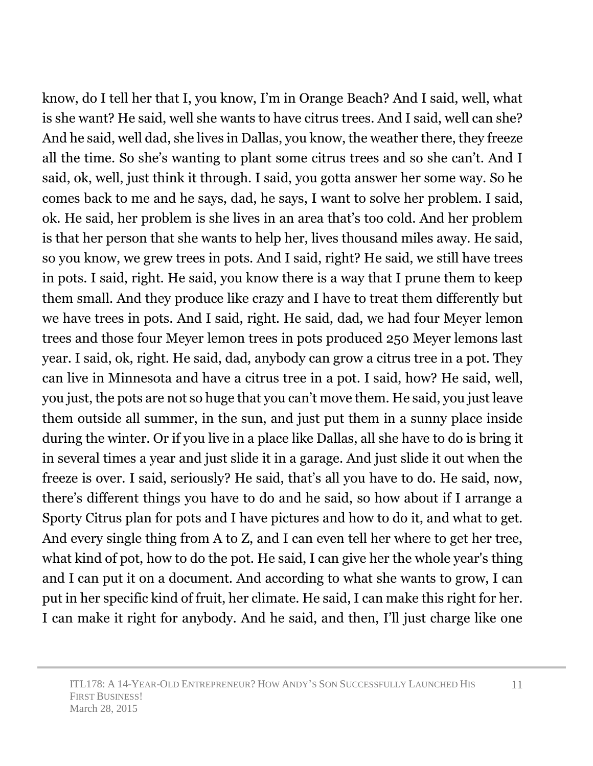know, do I tell her that I, you know, I'm in Orange Beach? And I said, well, what is she want? He said, well she wants to have citrus trees. And I said, well can she? And he said, well dad, she lives in Dallas, you know, the weather there, they freeze all the time. So she's wanting to plant some citrus trees and so she can't. And I said, ok, well, just think it through. I said, you gotta answer her some way. So he comes back to me and he says, dad, he says, I want to solve her problem. I said, ok. He said, her problem is she lives in an area that's too cold. And her problem is that her person that she wants to help her, lives thousand miles away. He said, so you know, we grew trees in pots. And I said, right? He said, we still have trees in pots. I said, right. He said, you know there is a way that I prune them to keep them small. And they produce like crazy and I have to treat them differently but we have trees in pots. And I said, right. He said, dad, we had four Meyer lemon trees and those four Meyer lemon trees in pots produced 250 Meyer lemons last year. I said, ok, right. He said, dad, anybody can grow a citrus tree in a pot. They can live in Minnesota and have a citrus tree in a pot. I said, how? He said, well, you just, the pots are not so huge that you can't move them. He said, you just leave them outside all summer, in the sun, and just put them in a sunny place inside during the winter. Or if you live in a place like Dallas, all she have to do is bring it in several times a year and just slide it in a garage. And just slide it out when the freeze is over. I said, seriously? He said, that's all you have to do. He said, now, there's different things you have to do and he said, so how about if I arrange a Sporty Citrus plan for pots and I have pictures and how to do it, and what to get. And every single thing from A to Z, and I can even tell her where to get her tree, what kind of pot, how to do the pot. He said, I can give her the whole year's thing and I can put it on a document. And according to what she wants to grow, I can put in her specific kind of fruit, her climate. He said, I can make this right for her. I can make it right for anybody. And he said, and then, I'll just charge like one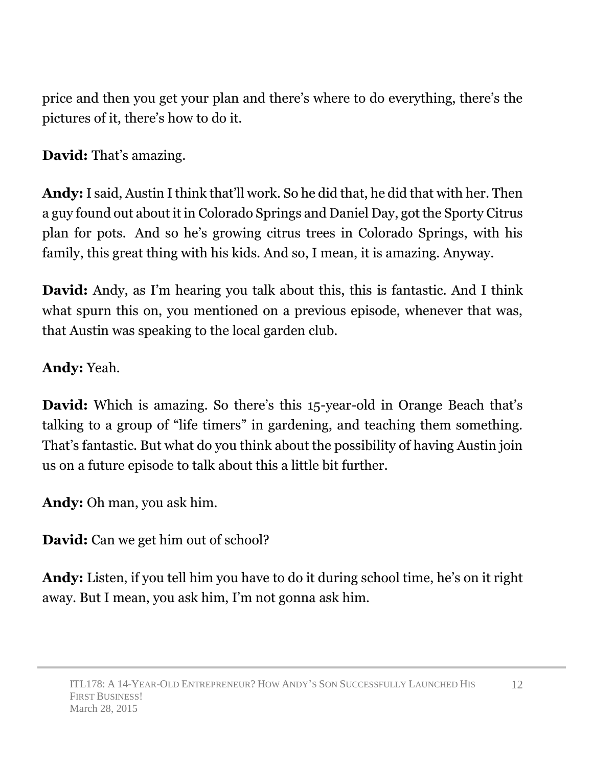price and then you get your plan and there's where to do everything, there's the pictures of it, there's how to do it.

**David:** That's amazing.

**Andy:** I said, Austin I think that'll work. So he did that, he did that with her. Then a guy found out about it in Colorado Springs and Daniel Day, got the Sporty Citrus plan for pots. And so he's growing citrus trees in Colorado Springs, with his family, this great thing with his kids. And so, I mean, it is amazing. Anyway.

**David:** Andy, as I'm hearing you talk about this, this is fantastic. And I think what spurn this on, you mentioned on a previous episode, whenever that was, that Austin was speaking to the local garden club.

## **Andy:** Yeah.

**David:** Which is amazing. So there's this 15-year-old in Orange Beach that's talking to a group of "life timers" in gardening, and teaching them something. That's fantastic. But what do you think about the possibility of having Austin join us on a future episode to talk about this a little bit further.

**Andy:** Oh man, you ask him.

**David:** Can we get him out of school?

**Andy:** Listen, if you tell him you have to do it during school time, he's on it right away. But I mean, you ask him, I'm not gonna ask him.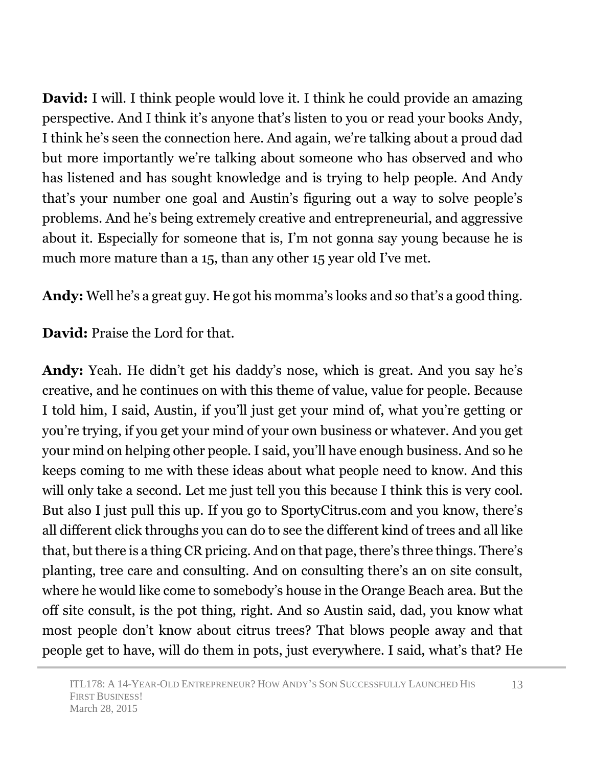**David:** I will. I think people would love it. I think he could provide an amazing perspective. And I think it's anyone that's listen to you or read your books Andy, I think he's seen the connection here. And again, we're talking about a proud dad but more importantly we're talking about someone who has observed and who has listened and has sought knowledge and is trying to help people. And Andy that's your number one goal and Austin's figuring out a way to solve people's problems. And he's being extremely creative and entrepreneurial, and aggressive about it. Especially for someone that is, I'm not gonna say young because he is much more mature than a 15, than any other 15 year old I've met.

**Andy:** Well he's a great guy. He got his momma's looks and so that's a good thing.

**David:** Praise the Lord for that.

**Andy:** Yeah. He didn't get his daddy's nose, which is great. And you say he's creative, and he continues on with this theme of value, value for people. Because I told him, I said, Austin, if you'll just get your mind of, what you're getting or you're trying, if you get your mind of your own business or whatever. And you get your mind on helping other people. I said, you'll have enough business. And so he keeps coming to me with these ideas about what people need to know. And this will only take a second. Let me just tell you this because I think this is very cool. But also I just pull this up. If you go to SportyCitrus.com and you know, there's all different click throughs you can do to see the different kind of trees and all like that, but there is a thing CR pricing. And on that page, there's three things. There's planting, tree care and consulting. And on consulting there's an on site consult, where he would like come to somebody's house in the Orange Beach area. But the off site consult, is the pot thing, right. And so Austin said, dad, you know what most people don't know about citrus trees? That blows people away and that people get to have, will do them in pots, just everywhere. I said, what's that? He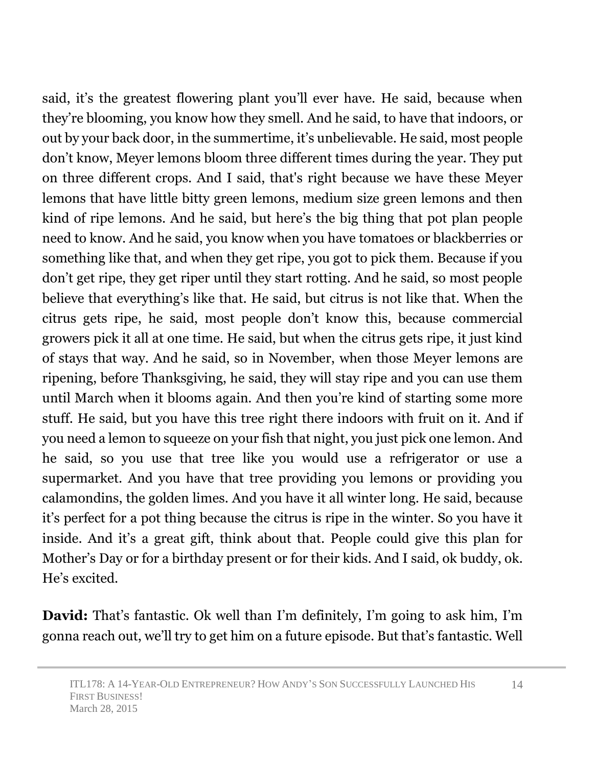said, it's the greatest flowering plant you'll ever have. He said, because when they're blooming, you know how they smell. And he said, to have that indoors, or out by your back door, in the summertime, it's unbelievable. He said, most people don't know, Meyer lemons bloom three different times during the year. They put on three different crops. And I said, that's right because we have these Meyer lemons that have little bitty green lemons, medium size green lemons and then kind of ripe lemons. And he said, but here's the big thing that pot plan people need to know. And he said, you know when you have tomatoes or blackberries or something like that, and when they get ripe, you got to pick them. Because if you don't get ripe, they get riper until they start rotting. And he said, so most people believe that everything's like that. He said, but citrus is not like that. When the citrus gets ripe, he said, most people don't know this, because commercial growers pick it all at one time. He said, but when the citrus gets ripe, it just kind of stays that way. And he said, so in November, when those Meyer lemons are ripening, before Thanksgiving, he said, they will stay ripe and you can use them until March when it blooms again. And then you're kind of starting some more stuff. He said, but you have this tree right there indoors with fruit on it. And if you need a lemon to squeeze on your fish that night, you just pick one lemon. And he said, so you use that tree like you would use a refrigerator or use a supermarket. And you have that tree providing you lemons or providing you calamondins, the golden limes. And you have it all winter long. He said, because it's perfect for a pot thing because the citrus is ripe in the winter. So you have it inside. And it's a great gift, think about that. People could give this plan for Mother's Day or for a birthday present or for their kids. And I said, ok buddy, ok. He's excited.

**David:** That's fantastic. Ok well than I'm definitely, I'm going to ask him, I'm gonna reach out, we'll try to get him on a future episode. But that's fantastic. Well

14